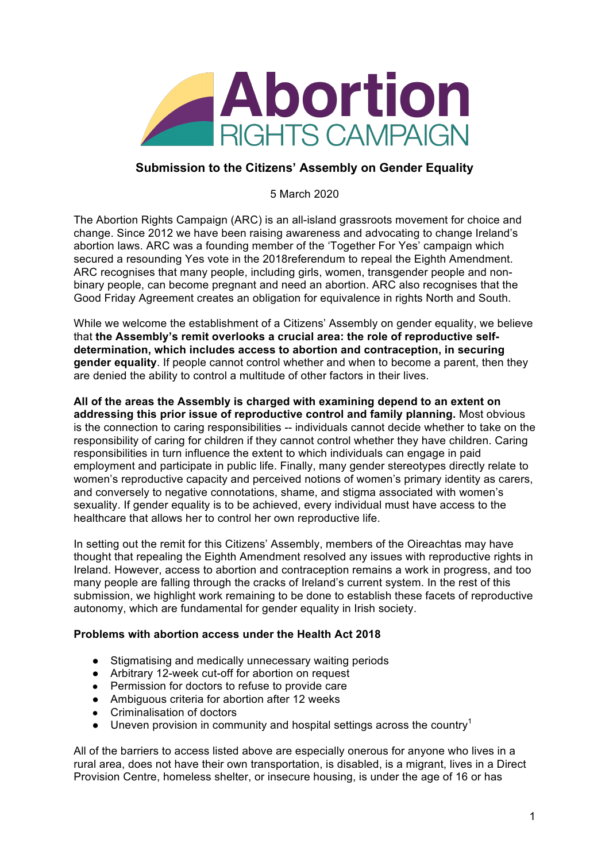

## **Submission to the Citizens' Assembly on Gender Equality**

5 March 2020

The Abortion Rights Campaign (ARC) is an all-island grassroots movement for choice and change. Since 2012 we have been raising awareness and advocating to change Ireland's abortion laws. ARC was a founding member of the 'Together For Yes' campaign which secured a resounding Yes vote in the 2018referendum to repeal the Eighth Amendment. ARC recognises that many people, including girls, women, transgender people and nonbinary people, can become pregnant and need an abortion. ARC also recognises that the Good Friday Agreement creates an obligation for equivalence in rights North and South.

While we welcome the establishment of a Citizens' Assembly on gender equality, we believe that **the Assembly's remit overlooks a crucial area: the role of reproductive selfdetermination, which includes access to abortion and contraception, in securing gender equality**. If people cannot control whether and when to become a parent, then they are denied the ability to control a multitude of other factors in their lives.

**All of the areas the Assembly is charged with examining depend to an extent on addressing this prior issue of reproductive control and family planning.** Most obvious is the connection to caring responsibilities -- individuals cannot decide whether to take on the responsibility of caring for children if they cannot control whether they have children. Caring responsibilities in turn influence the extent to which individuals can engage in paid employment and participate in public life. Finally, many gender stereotypes directly relate to women's reproductive capacity and perceived notions of women's primary identity as carers, and conversely to negative connotations, shame, and stigma associated with women's sexuality. If gender equality is to be achieved, every individual must have access to the healthcare that allows her to control her own reproductive life.

In setting out the remit for this Citizens' Assembly, members of the Oireachtas may have thought that repealing the Eighth Amendment resolved any issues with reproductive rights in Ireland. However, access to abortion and contraception remains a work in progress, and too many people are falling through the cracks of Ireland's current system. In the rest of this submission, we highlight work remaining to be done to establish these facets of reproductive autonomy, which are fundamental for gender equality in Irish society.

## **Problems with abortion access under the Health Act 2018**

- Stigmatising and medically unnecessary waiting periods
- Arbitrary 12-week cut-off for abortion on request
- Permission for doctors to refuse to provide care
- Ambiguous criteria for abortion after 12 weeks
- Criminalisation of doctors
- Uneven provision in community and hospital settings across the country<sup>1</sup>

All of the barriers to access listed above are especially onerous for anyone who lives in a rural area, does not have their own transportation, is disabled, is a migrant, lives in a Direct Provision Centre, homeless shelter, or insecure housing, is under the age of 16 or has